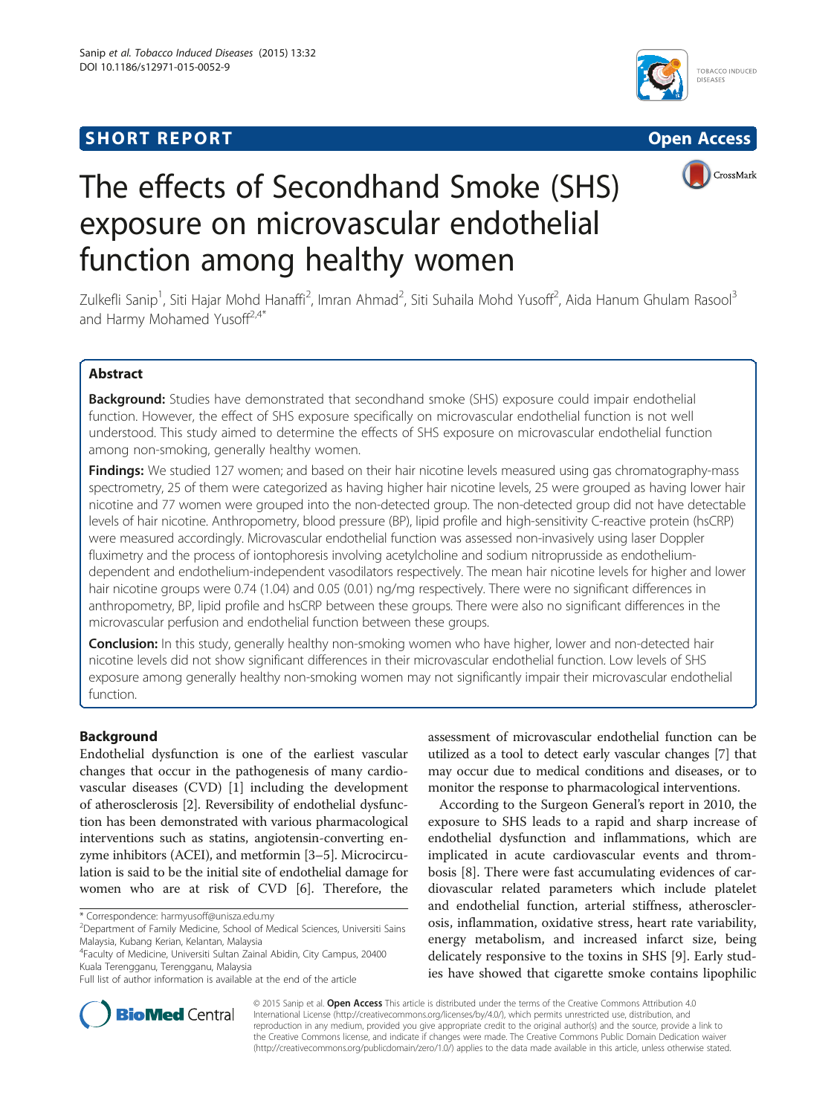## **SHORT REPORT CONTRACT CONTRACT CONTRACT CONTRACT CONTRACT CONTRACT CONTRACT CONTRACT CONTRACT CONTRACT CONTRACT CONTRACT CONTRACT CONTRACT CONTRACT CONTRACT CONTRACT CONTRACT CONTRACT CONTRACT CONTRACT CONTRACT CONTRACT C**







# The effects of Secondhand Smoke (SHS) exposure on microvascular endothelial function among healthy women

Zulkefli Sanip<sup>1</sup>, Siti Hajar Mohd Hanaffi<sup>2</sup>, Imran Ahmad<sup>2</sup>, Siti Suhaila Mohd Yusoff<sup>2</sup>, Aida Hanum Ghulam Rasool<sup>3</sup> and Harmy Mohamed Yusoff<sup>2,4\*</sup>

## Abstract

**Background:** Studies have demonstrated that secondhand smoke (SHS) exposure could impair endothelial function. However, the effect of SHS exposure specifically on microvascular endothelial function is not well understood. This study aimed to determine the effects of SHS exposure on microvascular endothelial function among non-smoking, generally healthy women.

**Findings:** We studied 127 women; and based on their hair nicotine levels measured using gas chromatography-mass spectrometry, 25 of them were categorized as having higher hair nicotine levels, 25 were grouped as having lower hair nicotine and 77 women were grouped into the non-detected group. The non-detected group did not have detectable levels of hair nicotine. Anthropometry, blood pressure (BP), lipid profile and high-sensitivity C-reactive protein (hsCRP) were measured accordingly. Microvascular endothelial function was assessed non-invasively using laser Doppler fluximetry and the process of iontophoresis involving acetylcholine and sodium nitroprusside as endotheliumdependent and endothelium-independent vasodilators respectively. The mean hair nicotine levels for higher and lower hair nicotine groups were 0.74 (1.04) and 0.05 (0.01) ng/mg respectively. There were no significant differences in anthropometry, BP, lipid profile and hsCRP between these groups. There were also no significant differences in the microvascular perfusion and endothelial function between these groups.

**Conclusion:** In this study, generally healthy non-smoking women who have higher, lower and non-detected hair nicotine levels did not show significant differences in their microvascular endothelial function. Low levels of SHS exposure among generally healthy non-smoking women may not significantly impair their microvascular endothelial function.

## Background

Endothelial dysfunction is one of the earliest vascular changes that occur in the pathogenesis of many cardiovascular diseases (CVD) [[1\]](#page-3-0) including the development of atherosclerosis [[2\]](#page-3-0). Reversibility of endothelial dysfunction has been demonstrated with various pharmacological interventions such as statins, angiotensin-converting enzyme inhibitors (ACEI), and metformin [[3](#page-3-0)–[5](#page-3-0)]. Microcirculation is said to be the initial site of endothelial damage for women who are at risk of CVD [[6](#page-3-0)]. Therefore, the

\* Correspondence: [harmyusoff@unisza.edu.my](mailto:harmyusoff@unisza.edu.my) <sup>2</sup>

4 Faculty of Medicine, Universiti Sultan Zainal Abidin, City Campus, 20400 Kuala Terengganu, Terengganu, Malaysia

assessment of microvascular endothelial function can be utilized as a tool to detect early vascular changes [\[7](#page-3-0)] that may occur due to medical conditions and diseases, or to monitor the response to pharmacological interventions.

According to the Surgeon General's report in 2010, the exposure to SHS leads to a rapid and sharp increase of endothelial dysfunction and inflammations, which are implicated in acute cardiovascular events and thrombosis [\[8](#page-4-0)]. There were fast accumulating evidences of cardiovascular related parameters which include platelet and endothelial function, arterial stiffness, atherosclerosis, inflammation, oxidative stress, heart rate variability, energy metabolism, and increased infarct size, being delicately responsive to the toxins in SHS [[9\]](#page-4-0). Early studies have showed that cigarette smoke contains lipophilic



© 2015 Sanip et al. Open Access This article is distributed under the terms of the Creative Commons Attribution 4.0 International License [\(http://creativecommons.org/licenses/by/4.0/](http://creativecommons.org/licenses/by/4.0/)), which permits unrestricted use, distribution, and reproduction in any medium, provided you give appropriate credit to the original author(s) and the source, provide a link to the Creative Commons license, and indicate if changes were made. The Creative Commons Public Domain Dedication waiver [\(http://creativecommons.org/publicdomain/zero/1.0/](http://creativecommons.org/publicdomain/zero/1.0/)) applies to the data made available in this article, unless otherwise stated.

<sup>&</sup>lt;sup>2</sup>Department of Family Medicine, School of Medical Sciences, Universiti Sains Malaysia, Kubang Kerian, Kelantan, Malaysia

Full list of author information is available at the end of the article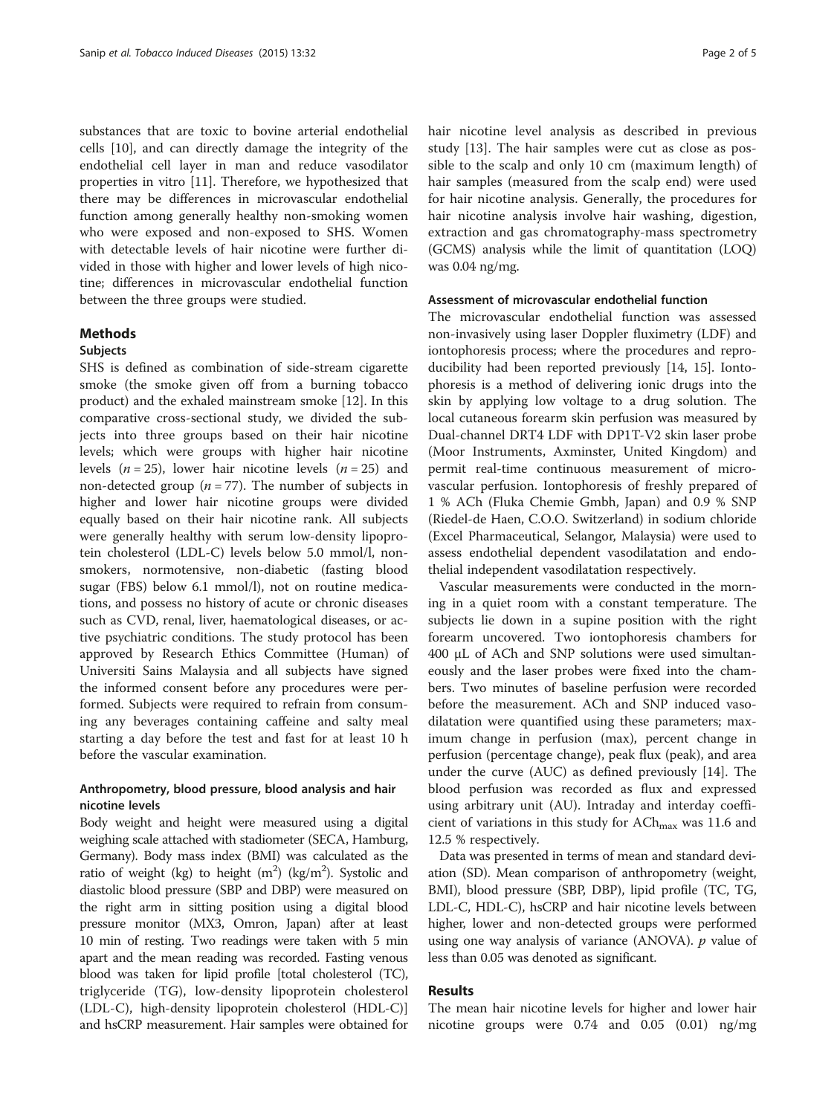substances that are toxic to bovine arterial endothelial cells [[10\]](#page-4-0), and can directly damage the integrity of the endothelial cell layer in man and reduce vasodilator properties in vitro [[11](#page-4-0)]. Therefore, we hypothesized that there may be differences in microvascular endothelial function among generally healthy non-smoking women who were exposed and non-exposed to SHS. Women with detectable levels of hair nicotine were further divided in those with higher and lower levels of high nicotine; differences in microvascular endothelial function between the three groups were studied.

#### Methods

#### **Subjects**

SHS is defined as combination of side-stream cigarette smoke (the smoke given off from a burning tobacco product) and the exhaled mainstream smoke [\[12\]](#page-4-0). In this comparative cross-sectional study, we divided the subjects into three groups based on their hair nicotine levels; which were groups with higher hair nicotine levels ( $n = 25$ ), lower hair nicotine levels ( $n = 25$ ) and non-detected group ( $n = 77$ ). The number of subjects in higher and lower hair nicotine groups were divided equally based on their hair nicotine rank. All subjects were generally healthy with serum low-density lipoprotein cholesterol (LDL-C) levels below 5.0 mmol/l, nonsmokers, normotensive, non-diabetic (fasting blood sugar (FBS) below 6.1 mmol/l), not on routine medications, and possess no history of acute or chronic diseases such as CVD, renal, liver, haematological diseases, or active psychiatric conditions. The study protocol has been approved by Research Ethics Committee (Human) of Universiti Sains Malaysia and all subjects have signed the informed consent before any procedures were performed. Subjects were required to refrain from consuming any beverages containing caffeine and salty meal starting a day before the test and fast for at least 10 h before the vascular examination.

## Anthropometry, blood pressure, blood analysis and hair nicotine levels

Body weight and height were measured using a digital weighing scale attached with stadiometer (SECA, Hamburg, Germany). Body mass index (BMI) was calculated as the ratio of weight (kg) to height  $(m^2)$  (kg/m<sup>2</sup>). Systolic and diastolic blood pressure (SBP and DBP) were measured on the right arm in sitting position using a digital blood pressure monitor (MX3, Omron, Japan) after at least 10 min of resting. Two readings were taken with 5 min apart and the mean reading was recorded. Fasting venous blood was taken for lipid profile [total cholesterol (TC), triglyceride (TG), low-density lipoprotein cholesterol (LDL-C), high-density lipoprotein cholesterol (HDL-C)] and hsCRP measurement. Hair samples were obtained for hair nicotine level analysis as described in previous study [\[13](#page-4-0)]. The hair samples were cut as close as possible to the scalp and only 10 cm (maximum length) of hair samples (measured from the scalp end) were used for hair nicotine analysis. Generally, the procedures for hair nicotine analysis involve hair washing, digestion, extraction and gas chromatography-mass spectrometry (GCMS) analysis while the limit of quantitation (LOQ) was 0.04 ng/mg.

#### Assessment of microvascular endothelial function

The microvascular endothelial function was assessed non-invasively using laser Doppler fluximetry (LDF) and iontophoresis process; where the procedures and reproducibility had been reported previously [\[14](#page-4-0), [15](#page-4-0)]. Iontophoresis is a method of delivering ionic drugs into the skin by applying low voltage to a drug solution. The local cutaneous forearm skin perfusion was measured by Dual-channel DRT4 LDF with DP1T-V2 skin laser probe (Moor Instruments, Axminster, United Kingdom) and permit real-time continuous measurement of microvascular perfusion. Iontophoresis of freshly prepared of 1 % ACh (Fluka Chemie Gmbh, Japan) and 0.9 % SNP (Riedel-de Haen, C.O.O. Switzerland) in sodium chloride (Excel Pharmaceutical, Selangor, Malaysia) were used to assess endothelial dependent vasodilatation and endothelial independent vasodilatation respectively.

Vascular measurements were conducted in the morning in a quiet room with a constant temperature. The subjects lie down in a supine position with the right forearm uncovered. Two iontophoresis chambers for 400 μL of ACh and SNP solutions were used simultaneously and the laser probes were fixed into the chambers. Two minutes of baseline perfusion were recorded before the measurement. ACh and SNP induced vasodilatation were quantified using these parameters; maximum change in perfusion (max), percent change in perfusion (percentage change), peak flux (peak), and area under the curve (AUC) as defined previously [\[14\]](#page-4-0). The blood perfusion was recorded as flux and expressed using arbitrary unit (AU). Intraday and interday coefficient of variations in this study for  $ACh<sub>max</sub>$  was 11.6 and 12.5 % respectively.

Data was presented in terms of mean and standard deviation (SD). Mean comparison of anthropometry (weight, BMI), blood pressure (SBP, DBP), lipid profile (TC, TG, LDL-C, HDL-C), hsCRP and hair nicotine levels between higher, lower and non-detected groups were performed using one way analysis of variance (ANOVA).  $p$  value of less than 0.05 was denoted as significant.

### Results

The mean hair nicotine levels for higher and lower hair nicotine groups were 0.74 and 0.05 (0.01) ng/mg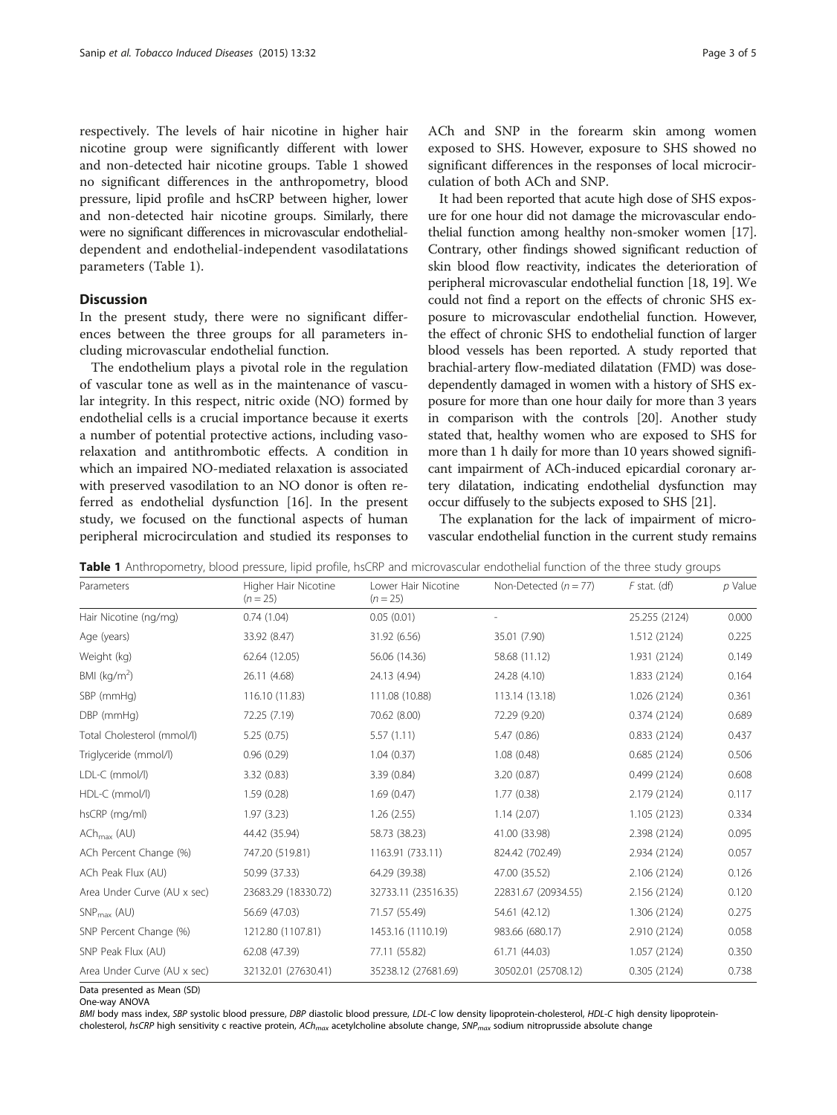respectively. The levels of hair nicotine in higher hair nicotine group were significantly different with lower and non-detected hair nicotine groups. Table 1 showed no significant differences in the anthropometry, blood pressure, lipid profile and hsCRP between higher, lower and non-detected hair nicotine groups. Similarly, there were no significant differences in microvascular endothelialdependent and endothelial-independent vasodilatations parameters (Table 1).

## **Discussion**

In the present study, there were no significant differences between the three groups for all parameters including microvascular endothelial function.

The endothelium plays a pivotal role in the regulation of vascular tone as well as in the maintenance of vascular integrity. In this respect, nitric oxide (NO) formed by endothelial cells is a crucial importance because it exerts a number of potential protective actions, including vasorelaxation and antithrombotic effects. A condition in which an impaired NO-mediated relaxation is associated with preserved vasodilation to an NO donor is often referred as endothelial dysfunction [\[16\]](#page-4-0). In the present study, we focused on the functional aspects of human peripheral microcirculation and studied its responses to

It had been reported that acute high dose of SHS exposure for one hour did not damage the microvascular endothelial function among healthy non-smoker women [[17](#page-4-0)]. Contrary, other findings showed significant reduction of skin blood flow reactivity, indicates the deterioration of peripheral microvascular endothelial function [[18](#page-4-0), [19\]](#page-4-0). We could not find a report on the effects of chronic SHS exposure to microvascular endothelial function. However, the effect of chronic SHS to endothelial function of larger blood vessels has been reported. A study reported that brachial-artery flow-mediated dilatation (FMD) was dosedependently damaged in women with a history of SHS exposure for more than one hour daily for more than 3 years in comparison with the controls [\[20](#page-4-0)]. Another study stated that, healthy women who are exposed to SHS for more than 1 h daily for more than 10 years showed significant impairment of ACh-induced epicardial coronary artery dilatation, indicating endothelial dysfunction may occur diffusely to the subjects exposed to SHS [[21\]](#page-4-0).

The explanation for the lack of impairment of microvascular endothelial function in the current study remains

| Parameters                  | Higher Hair Nicotine<br>$(n = 25)$ | Lower Hair Nicotine<br>$(n = 25)$ | Non-Detected $(n = 77)$ | $F$ stat. (df) | p Value |
|-----------------------------|------------------------------------|-----------------------------------|-------------------------|----------------|---------|
| Hair Nicotine (ng/mg)       | 0.74(1.04)                         | 0.05(0.01)                        |                         | 25.255 (2124)  | 0.000   |
| Age (years)                 | 33.92 (8.47)                       | 31.92 (6.56)                      | 35.01 (7.90)            | 1.512 (2124)   | 0.225   |
| Weight (kg)                 | 62.64 (12.05)                      | 56.06 (14.36)                     | 58.68 (11.12)           | 1.931 (2124)   | 0.149   |
| BMI (kg/m <sup>2</sup> )    | 26.11 (4.68)                       | 24.13 (4.94)                      | 24.28 (4.10)            | 1.833 (2124)   | 0.164   |
| SBP (mmHg)                  | 116.10 (11.83)                     | 111.08 (10.88)                    | 113.14 (13.18)          | 1.026 (2124)   | 0.361   |
| DBP (mmHg)                  | 72.25 (7.19)                       | 70.62 (8.00)                      | 72.29 (9.20)            | 0.374(2124)    | 0.689   |
| Total Cholesterol (mmol/l)  | 5.25(0.75)                         | 5.57(1.11)                        | 5.47 (0.86)             | 0.833(2124)    | 0.437   |
| Triglyceride (mmol/l)       | 0.96(0.29)                         | 1.04(0.37)                        | 1.08(0.48)              | 0.685(2124)    | 0.506   |
| LDL-C (mmol/l)              | 3.32(0.83)                         | 3.39 (0.84)                       | 3.20(0.87)              | 0.499(2124)    | 0.608   |
| HDL-C (mmol/l)              | 1.59(0.28)                         | 1.69(0.47)                        | 1.77(0.38)              | 2.179 (2124)   | 0.117   |
| hsCRP (mg/ml)               | 1.97(3.23)                         | 1.26(2.55)                        | 1.14(2.07)              | 1.105 (2123)   | 0.334   |
| $ACh_{max} (AU)$            | 44.42 (35.94)                      | 58.73 (38.23)                     | 41.00 (33.98)           | 2.398 (2124)   | 0.095   |
| ACh Percent Change (%)      | 747.20 (519.81)                    | 1163.91 (733.11)                  | 824.42 (702.49)         | 2.934 (2124)   | 0.057   |
| ACh Peak Flux (AU)          | 50.99 (37.33)                      | 64.29 (39.38)                     | 47.00 (35.52)           | 2.106 (2124)   | 0.126   |
| Area Under Curve (AU x sec) | 23683.29 (18330.72)                | 32733.11 (23516.35)               | 22831.67 (20934.55)     | 2.156 (2124)   | 0.120   |
| $SNP_{max}$ (AU)            | 56.69 (47.03)                      | 71.57 (55.49)                     | 54.61 (42.12)           | 1.306 (2124)   | 0.275   |
| SNP Percent Change (%)      | 1212.80 (1107.81)                  | 1453.16 (1110.19)                 | 983.66 (680.17)         | 2.910 (2124)   | 0.058   |
| SNP Peak Flux (AU)          | 62.08 (47.39)                      | 77.11 (55.82)                     | 61.71 (44.03)           | 1.057 (2124)   | 0.350   |
| Area Under Curve (AU x sec) | 32132.01 (27630.41)                | 35238.12 (27681.69)               | 30502.01 (25708.12)     | 0.305(2124)    | 0.738   |

Table 1 Anthropometry, blood pressure, lipid profile, hsCRP and microvascular endothelial function of the three study groups

Data presented as Mean (SD)

One-way ANOVA

BMI body mass index, SBP systolic blood pressure, DBP diastolic blood pressure, LDL-C low density lipoprotein-cholesterol, HDL-C high density lipoproteincholesterol, hsCRP high sensitivity c reactive protein, ACh<sub>max</sub> acetylcholine absolute change, SNP<sub>max</sub> sodium nitroprusside absolute change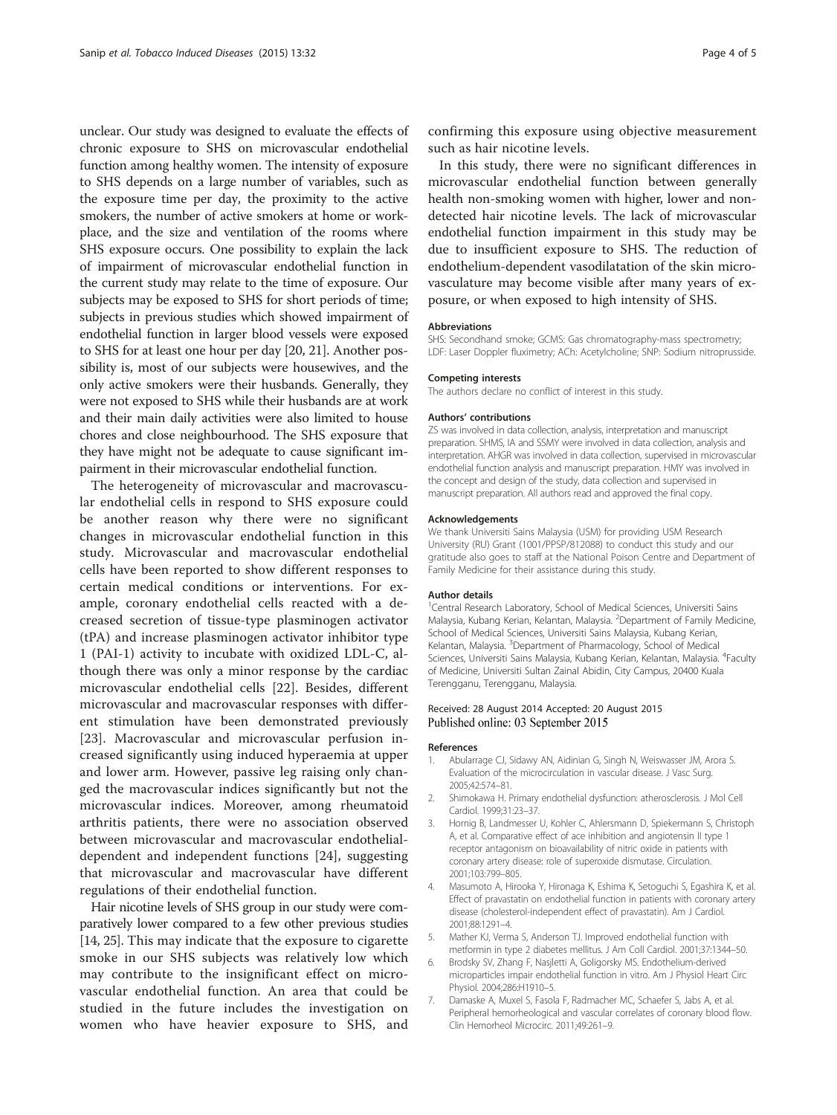<span id="page-3-0"></span>unclear. Our study was designed to evaluate the effects of chronic exposure to SHS on microvascular endothelial function among healthy women. The intensity of exposure to SHS depends on a large number of variables, such as the exposure time per day, the proximity to the active smokers, the number of active smokers at home or workplace, and the size and ventilation of the rooms where SHS exposure occurs. One possibility to explain the lack of impairment of microvascular endothelial function in the current study may relate to the time of exposure. Our subjects may be exposed to SHS for short periods of time; subjects in previous studies which showed impairment of endothelial function in larger blood vessels were exposed to SHS for at least one hour per day [\[20](#page-4-0), [21](#page-4-0)]. Another possibility is, most of our subjects were housewives, and the only active smokers were their husbands. Generally, they were not exposed to SHS while their husbands are at work and their main daily activities were also limited to house chores and close neighbourhood. The SHS exposure that they have might not be adequate to cause significant impairment in their microvascular endothelial function.

The heterogeneity of microvascular and macrovascular endothelial cells in respond to SHS exposure could be another reason why there were no significant changes in microvascular endothelial function in this study. Microvascular and macrovascular endothelial cells have been reported to show different responses to certain medical conditions or interventions. For example, coronary endothelial cells reacted with a decreased secretion of tissue-type plasminogen activator (tPA) and increase plasminogen activator inhibitor type 1 (PAI-1) activity to incubate with oxidized LDL-C, although there was only a minor response by the cardiac microvascular endothelial cells [[22\]](#page-4-0). Besides, different microvascular and macrovascular responses with different stimulation have been demonstrated previously [[23\]](#page-4-0). Macrovascular and microvascular perfusion increased significantly using induced hyperaemia at upper and lower arm. However, passive leg raising only changed the macrovascular indices significantly but not the microvascular indices. Moreover, among rheumatoid arthritis patients, there were no association observed between microvascular and macrovascular endothelialdependent and independent functions [\[24](#page-4-0)], suggesting that microvascular and macrovascular have different regulations of their endothelial function.

Hair nicotine levels of SHS group in our study were comparatively lower compared to a few other previous studies [[14](#page-4-0), [25](#page-4-0)]. This may indicate that the exposure to cigarette smoke in our SHS subjects was relatively low which may contribute to the insignificant effect on microvascular endothelial function. An area that could be studied in the future includes the investigation on women who have heavier exposure to SHS, and

confirming this exposure using objective measurement such as hair nicotine levels.

In this study, there were no significant differences in microvascular endothelial function between generally health non-smoking women with higher, lower and nondetected hair nicotine levels. The lack of microvascular endothelial function impairment in this study may be due to insufficient exposure to SHS. The reduction of endothelium-dependent vasodilatation of the skin microvasculature may become visible after many years of exposure, or when exposed to high intensity of SHS.

#### Abbreviations

SHS: Secondhand smoke; GCMS: Gas chromatography-mass spectrometry; LDF: Laser Doppler fluximetry; ACh: Acetylcholine; SNP: Sodium nitroprusside.

#### Competing interests

The authors declare no conflict of interest in this study.

#### Authors' contributions

ZS was involved in data collection, analysis, interpretation and manuscript preparation. SHMS, IA and SSMY were involved in data collection, analysis and interpretation. AHGR was involved in data collection, supervised in microvascular endothelial function analysis and manuscript preparation. HMY was involved in the concept and design of the study, data collection and supervised in manuscript preparation. All authors read and approved the final copy.

#### Acknowledgements

We thank Universiti Sains Malaysia (USM) for providing USM Research University (RU) Grant (1001/PPSP/812088) to conduct this study and our gratitude also goes to staff at the National Poison Centre and Department of Family Medicine for their assistance during this study.

#### Author details

<sup>1</sup> Central Research Laboratory, School of Medical Sciences, Universiti Sains Malaysia, Kubang Kerian, Kelantan, Malaysia. <sup>2</sup>Department of Family Medicine, School of Medical Sciences, Universiti Sains Malaysia, Kubang Kerian, Kelantan, Malaysia. <sup>3</sup>Department of Pharmacology, School of Medical Sciences, Universiti Sains Malaysia, Kubang Kerian, Kelantan, Malaysia. <sup>4</sup>Faculty of Medicine, Universiti Sultan Zainal Abidin, City Campus, 20400 Kuala Terengganu, Terengganu, Malaysia.

#### Received: 28 August 2014 Accepted: 20 August 2015 Published online: 03 September 2015

#### References

- 1. Abularrage CJ, Sidawy AN, Aidinian G, Singh N, Weiswasser JM, Arora S. Evaluation of the microcirculation in vascular disease. J Vasc Surg. 2005;42:574–81.
- 2. Shimokawa H. Primary endothelial dysfunction: atherosclerosis. J Mol Cell Cardiol. 1999;31:23–37.
- 3. Hornig B, Landmesser U, Kohler C, Ahlersmann D, Spiekermann S, Christoph A, et al. Comparative effect of ace inhibition and angiotensin II type 1 receptor antagonism on bioavailability of nitric oxide in patients with coronary artery disease: role of superoxide dismutase. Circulation. 2001;103:799–805.
- 4. Masumoto A, Hirooka Y, Hironaga K, Eshima K, Setoguchi S, Egashira K, et al. Effect of pravastatin on endothelial function in patients with coronary artery disease (cholesterol-independent effect of pravastatin). Am J Cardiol. 2001;88:1291–4.
- 5. Mather KJ, Verma S, Anderson TJ. Improved endothelial function with metformin in type 2 diabetes mellitus. J Am Coll Cardiol. 2001;37:1344–50.
- 6. Brodsky SV, Zhang F, Nasjletti A, Goligorsky MS. Endothelium-derived microparticles impair endothelial function in vitro. Am J Physiol Heart Circ Physiol. 2004;286:H1910–5.
- 7. Damaske A, Muxel S, Fasola F, Radmacher MC, Schaefer S, Jabs A, et al. Peripheral hemorheological and vascular correlates of coronary blood flow. Clin Hemorheol Microcirc. 2011;49:261–9.